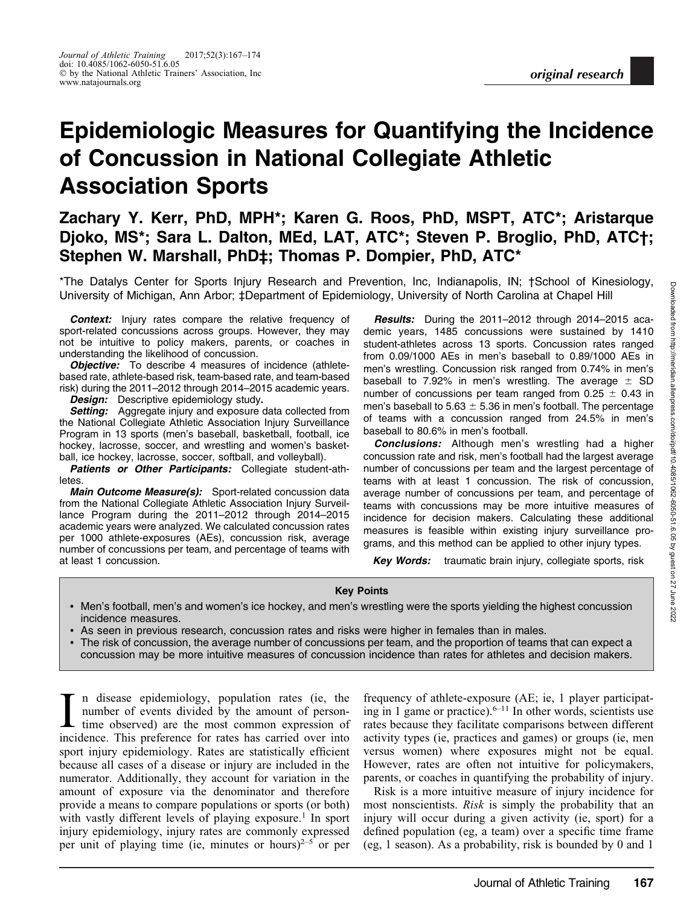# Epidemiologic Measures for Quantifying the Incidence of Concussion in National Collegiate Athletic Association Sports

# Zachary Y. Kerr, PhD, MPH\*; Karen G. Roos, PhD, MSPT, ATC\*; Aristarque Djoko, MS\*; Sara L. Dalton, MEd, LAT, ATC\*; Steven P. Broglio, PhD, ATC†; Stephen W. Marshall, PhD‡; Thomas P. Dompier, PhD, ATC\*

\*The Datalys Center for Sports Injury Research and Prevention, Inc, Indianapolis, IN; †School of Kinesiology, University of Michigan, Ann Arbor; ‡Department of Epidemiology, University of North Carolina at Chapel Hill

Context: Injury rates compare the relative frequency of sport-related concussions across groups. However, they may not be intuitive to policy makers, parents, or coaches in understanding the likelihood of concussion.

**Objective:** To describe 4 measures of incidence (athletebased rate, athlete-based risk, team-based rate, and team-based risk) during the 2011–2012 through 2014–2015 academic years.

Design: Descriptive epidemiology study.

Setting: Aggregate injury and exposure data collected from the National Collegiate Athletic Association Injury Surveillance Program in 13 sports (men's baseball, basketball, football, ice hockey, lacrosse, soccer, and wrestling and women's basketball, ice hockey, lacrosse, soccer, softball, and volleyball).

Patients or Other Participants: Collegiate student-athletes.

Main Outcome Measure(s): Sport-related concussion data from the National Collegiate Athletic Association Injury Surveillance Program during the 2011–2012 through 2014–2015 academic years were analyzed. We calculated concussion rates per 1000 athlete-exposures (AEs), concussion risk, average number of concussions per team, and percentage of teams with at least 1 concussion.

Results: During the 2011-2012 through 2014-2015 academic years, 1485 concussions were sustained by 1410 student-athletes across 13 sports. Concussion rates ranged from 0.09/1000 AEs in men's baseball to 0.89/1000 AEs in men's wrestling. Concussion risk ranged from 0.74% in men's baseball to 7.92% in men's wrestling. The average  $\pm$  SD number of concussions per team ranged from  $0.25 \pm 0.43$  in men's baseball to 5.63  $\pm$  5.36 in men's football. The percentage of teams with a concussion ranged from 24.5% in men's baseball to 80.6% in men's football.

**Conclusions:** Although men's wrestling had a higher concussion rate and risk, men's football had the largest average number of concussions per team and the largest percentage of teams with at least 1 concussion. The risk of concussion, average number of concussions per team, and percentage of teams with concussions may be more intuitive measures of incidence for decision makers. Calculating these additional measures is feasible within existing injury surveillance programs, and this method can be applied to other injury types.

Key Words: traumatic brain injury, collegiate sports, risk

#### Key Points

- Men's football, men's and women's ice hockey, and men's wrestling were the sports yielding the highest concussion incidence measures.
- As seen in previous research, concussion rates and risks were higher in females than in males.
- The risk of concussion, the average number of concussions per team, and the proportion of teams that can expect a concussion may be more intuitive measures of concussion incidence than rates for athletes and decision makers.

In disease epidemiology, population rates (ie, the number of events divided by the amount of persontime observed) are the most common expression of incidence. This preference for rates has carried over into n disease epidemiology, population rates (ie, the number of events divided by the amount of persontime observed) are the most common expression of sport injury epidemiology. Rates are statistically efficient because all cases of a disease or injury are included in the numerator. Additionally, they account for variation in the amount of exposure via the denominator and therefore provide a means to compare populations or sports (or both) with vastly different levels of playing exposure.<sup>1</sup> In sport injury epidemiology, injury rates are commonly expressed per unit of playing time (ie, minutes or hours) $2^{-5}$  or per

frequency of athlete-exposure (AE; ie, 1 player participating in 1 game or practice).  $6-11$  In other words, scientists use rates because they facilitate comparisons between different activity types (ie, practices and games) or groups (ie, men versus women) where exposures might not be equal. However, rates are often not intuitive for policymakers, parents, or coaches in quantifying the probability of injury.

Risk is a more intuitive measure of injury incidence for most nonscientists. Risk is simply the probability that an injury will occur during a given activity (ie, sport) for a defined population (eg, a team) over a specific time frame (eg, 1 season). As a probability, risk is bounded by 0 and 1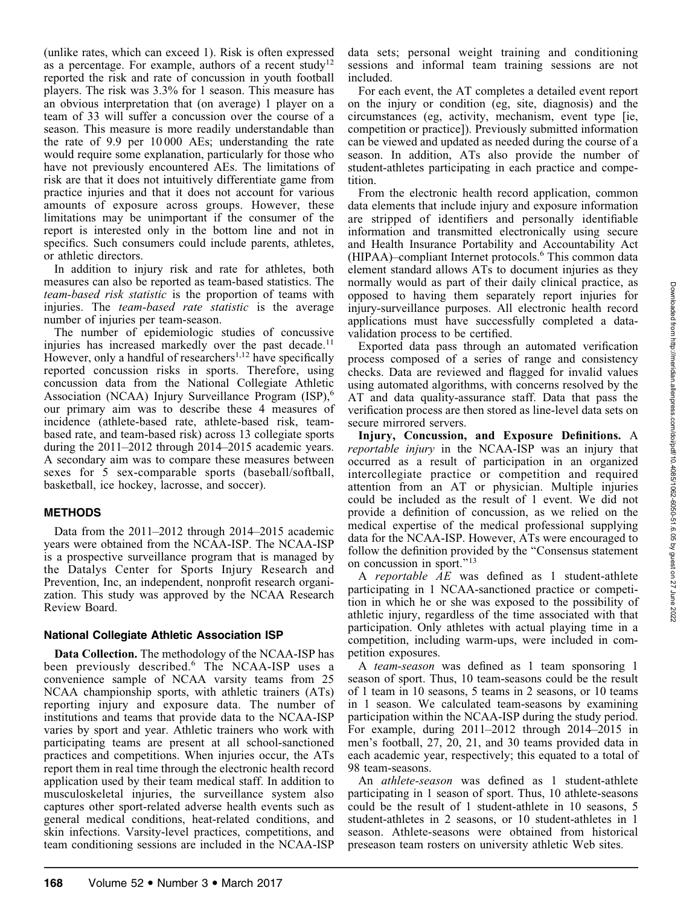(unlike rates, which can exceed 1). Risk is often expressed as a percentage. For example, authors of a recent study<sup>12</sup> reported the risk and rate of concussion in youth football players. The risk was 3.3% for 1 season. This measure has an obvious interpretation that (on average) 1 player on a team of 33 will suffer a concussion over the course of a season. This measure is more readily understandable than the rate of 9.9 per 10 000 AEs; understanding the rate would require some explanation, particularly for those who have not previously encountered AEs. The limitations of risk are that it does not intuitively differentiate game from practice injuries and that it does not account for various amounts of exposure across groups. However, these limitations may be unimportant if the consumer of the report is interested only in the bottom line and not in specifics. Such consumers could include parents, athletes, or athletic directors.

In addition to injury risk and rate for athletes, both measures can also be reported as team-based statistics. The team-based risk statistic is the proportion of teams with injuries. The team-based rate statistic is the average number of injuries per team-season.

The number of epidemiologic studies of concussive injuries has increased markedly over the past decade.<sup>11</sup> However, only a handful of researchers<sup>1,12</sup> have specifically reported concussion risks in sports. Therefore, using concussion data from the National Collegiate Athletic Association (NCAA) Injury Surveillance Program (ISP),<sup>6</sup> our primary aim was to describe these 4 measures of incidence (athlete-based rate, athlete-based risk, teambased rate, and team-based risk) across 13 collegiate sports during the 2011–2012 through 2014–2015 academic years. A secondary aim was to compare these measures between sexes for 5 sex-comparable sports (baseball/softball, basketball, ice hockey, lacrosse, and soccer).

#### METHODS

Data from the 2011–2012 through 2014–2015 academic years were obtained from the NCAA-ISP. The NCAA-ISP is a prospective surveillance program that is managed by the Datalys Center for Sports Injury Research and Prevention, Inc, an independent, nonprofit research organization. This study was approved by the NCAA Research Review Board.

#### National Collegiate Athletic Association ISP

Data Collection. The methodology of the NCAA-ISP has been previously described.<sup>6</sup> The NCAA-ISP uses a convenience sample of NCAA varsity teams from 25 NCAA championship sports, with athletic trainers (ATs) reporting injury and exposure data. The number of institutions and teams that provide data to the NCAA-ISP varies by sport and year. Athletic trainers who work with participating teams are present at all school-sanctioned practices and competitions. When injuries occur, the ATs report them in real time through the electronic health record application used by their team medical staff. In addition to musculoskeletal injuries, the surveillance system also captures other sport-related adverse health events such as general medical conditions, heat-related conditions, and skin infections. Varsity-level practices, competitions, and team conditioning sessions are included in the NCAA-ISP

data sets; personal weight training and conditioning sessions and informal team training sessions are not included.

For each event, the AT completes a detailed event report on the injury or condition (eg, site, diagnosis) and the circumstances (eg, activity, mechanism, event type [ie, competition or practice]). Previously submitted information can be viewed and updated as needed during the course of a season. In addition, ATs also provide the number of student-athletes participating in each practice and competition.

From the electronic health record application, common data elements that include injury and exposure information are stripped of identifiers and personally identifiable information and transmitted electronically using secure and Health Insurance Portability and Accountability Act (HIPAA)–compliant Internet protocols.6 This common data element standard allows ATs to document injuries as they normally would as part of their daily clinical practice, as opposed to having them separately report injuries for injury-surveillance purposes. All electronic health record applications must have successfully completed a datavalidation process to be certified.

Exported data pass through an automated verification process composed of a series of range and consistency checks. Data are reviewed and flagged for invalid values using automated algorithms, with concerns resolved by the AT and data quality-assurance staff. Data that pass the verification process are then stored as line-level data sets on secure mirrored servers.

Injury, Concussion, and Exposure Definitions. A reportable injury in the NCAA-ISP was an injury that occurred as a result of participation in an organized intercollegiate practice or competition and required attention from an AT or physician. Multiple injuries could be included as the result of 1 event. We did not provide a definition of concussion, as we relied on the medical expertise of the medical professional supplying data for the NCAA-ISP. However, ATs were encouraged to follow the definition provided by the ''Consensus statement on concussion in sport.''<sup>13</sup>

A reportable AE was defined as 1 student-athlete participating in 1 NCAA-sanctioned practice or competition in which he or she was exposed to the possibility of athletic injury, regardless of the time associated with that participation. Only athletes with actual playing time in a competition, including warm-ups, were included in competition exposures.

A team-season was defined as 1 team sponsoring 1 season of sport. Thus, 10 team-seasons could be the result of 1 team in 10 seasons, 5 teams in 2 seasons, or 10 teams in 1 season. We calculated team-seasons by examining participation within the NCAA-ISP during the study period. For example, during 2011–2012 through 2014–2015 in men's football, 27, 20, 21, and 30 teams provided data in each academic year, respectively; this equated to a total of 98 team-seasons.

An *athlete-season* was defined as 1 student-athlete participating in 1 season of sport. Thus, 10 athlete-seasons could be the result of 1 student-athlete in 10 seasons, 5 student-athletes in 2 seasons, or 10 student-athletes in 1 season. Athlete-seasons were obtained from historical preseason team rosters on university athletic Web sites.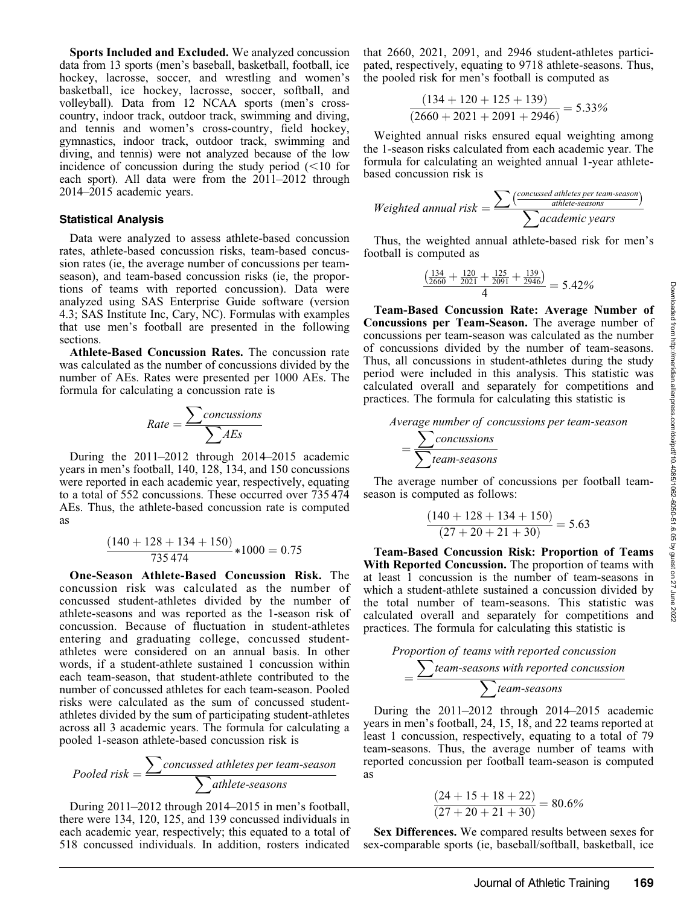Downloaded from http://meridian.allenpress.com/doi/pdf/10.4085/1062-6050-51.6.05 by guest on Downloaded from http://meridian.allenpress.com/doi/pdf/10.4085/1062-6050-51.6.05 by guest on 27 June 2022

27 June 2022

Sports Included and Excluded. We analyzed concussion data from 13 sports (men's baseball, basketball, football, ice hockey, lacrosse, soccer, and wrestling and women's basketball, ice hockey, lacrosse, soccer, softball, and volleyball). Data from 12 NCAA sports (men's crosscountry, indoor track, outdoor track, swimming and diving, and tennis and women's cross-country, field hockey, gymnastics, indoor track, outdoor track, swimming and diving, and tennis) were not analyzed because of the low incidence of concussion during the study period  $(<10$  for each sport). All data were from the 2011–2012 through 2014–2015 academic years.

#### Statistical Analysis

Data were analyzed to assess athlete-based concussion rates, athlete-based concussion risks, team-based concussion rates (ie, the average number of concussions per teamseason), and team-based concussion risks (ie, the proportions of teams with reported concussion). Data were analyzed using SAS Enterprise Guide software (version 4.3; SAS Institute Inc, Cary, NC). Formulas with examples that use men's football are presented in the following sections.

Athlete-Based Concussion Rates. The concussion rate was calculated as the number of concussions divided by the number of AEs. Rates were presented per 1000 AEs. The formula for calculating a concussion rate is

$$
Rate = \frac{\sum concussions}{\sum AES}
$$

During the 2011–2012 through 2014–2015 academic years in men's football, 140, 128, 134, and 150 concussions were reported in each academic year, respectively, equating to a total of 552 concussions. These occurred over 735 474 AEs. Thus, the athlete-based concussion rate is computed as

$$
\frac{(140+128+134+150)}{735\,474} * 1000 = 0.75
$$

One-Season Athlete-Based Concussion Risk. The concussion risk was calculated as the number of concussed student-athletes divided by the number of athlete-seasons and was reported as the 1-season risk of concussion. Because of fluctuation in student-athletes entering and graduating college, concussed studentathletes were considered on an annual basis. In other words, if a student-athlete sustained 1 concussion within each team-season, that student-athlete contributed to the number of concussed athletes for each team-season. Pooled risks were calculated as the sum of concussed studentathletes divided by the sum of participating student-athletes across all 3 academic years. The formula for calculating a pooled 1-season athlete-based concussion risk is

$$
Pooled risk = \frac{\sum concussed\,athletes\,per\,team\text{-}season}{\sum \alpha thlete\text{-}season}
$$

During 2011–2012 through 2014–2015 in men's football, there were 134, 120, 125, and 139 concussed individuals in each academic year, respectively; this equated to a total of 518 concussed individuals. In addition, rosters indicated that 2660, 2021, 2091, and 2946 student-athletes participated, respectively, equating to 9718 athlete-seasons. Thus, the pooled risk for men's football is computed as

$$
\frac{(134+120+125+139)}{(2660+2021+2091+2946)} = 5.33\%
$$

Weighted annual risks ensured equal weighting among the 1-season risks calculated from each academic year. The formula for calculating an weighted annual 1-year athletebased concussion risk is

$$
Weighted annual risk = \frac{\sum (\frac{concussed\hspace{1mm} athletes\hspace{1mm} per\hspace{1mm} team\hspace{1mm} season}{athlete\hspace{1mm} seasons})}{\sum academic\hspace{1mm} years}
$$

Thus, the weighted annual athlete-based risk for men's football is computed as

$$
\frac{\left(\frac{134}{2660} + \frac{120}{2021} + \frac{125}{2091} + \frac{139}{2946}\right)}{4} = 5.42\%
$$

Team-Based Concussion Rate: Average Number of Concussions per Team-Season. The average number of concussions per team-season was calculated as the number of concussions divided by the number of team-seasons. Thus, all concussions in student-athletes during the study period were included in this analysis. This statistic was calculated overall and separately for competitions and practices. The formula for calculating this statistic is

Average number of concussions per team-season<br>
Concussions

$$
=\frac{\sum concussions}{\sum team-seasons}
$$

The average number of concussions per football teamseason is computed as follows:

$$
\frac{(140+128+134+150)}{(27+20+21+30)} = 5.63
$$

Team-Based Concussion Risk: Proportion of Teams With Reported Concussion. The proportion of teams with at least 1 concussion is the number of team-seasons in which a student-athlete sustained a concussion divided by the total number of team-seasons. This statistic was calculated overall and separately for competitions and practices. The formula for calculating this statistic is

$$
Proportion of teams with reported concussion = \frac{\sum team seasons with reported concussion}{\sum team seasons}
$$

During the 2011–2012 through 2014–2015 academic years in men's football, 24, 15, 18, and 22 teams reported at least 1 concussion, respectively, equating to a total of 79 team-seasons. Thus, the average number of teams with reported concussion per football team-season is computed as

$$
\frac{(24+15+18+22)}{(27+20+21+30)} = 80.6\%
$$

Sex Differences. We compared results between sexes for sex-comparable sports (ie, baseball/softball, basketball, ice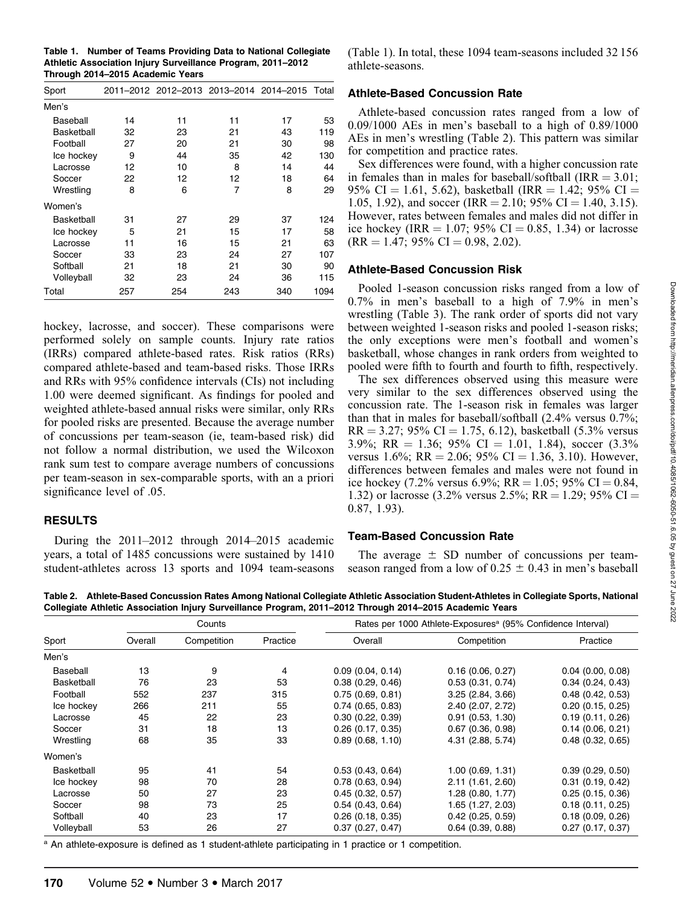Table 1. Number of Teams Providing Data to National Collegiate Athletic Association Injury Surveillance Program, 2011–2012 Through 2014–2015 Academic Years

| Sport      |     |     |     | 2011-2012 2012-2013 2013-2014 2014-2015 Total |      |
|------------|-----|-----|-----|-----------------------------------------------|------|
| Men's      |     |     |     |                                               |      |
| Baseball   | 14  | 11  | 11  | 17                                            | 53   |
| Basketball | 32  | 23  | 21  | 43                                            | 119  |
| Football   | 27  | 20  | 21  | 30                                            | 98   |
| Ice hockey | 9   | 44  | 35  | 42                                            | 130  |
| Lacrosse   | 12  | 10  | 8   | 14                                            | 44   |
| Soccer     | 22  | 12  | 12  | 18                                            | 64   |
| Wrestling  | 8   | 6   | 7   | 8                                             | 29   |
| Women's    |     |     |     |                                               |      |
| Basketball | 31  | 27  | 29  | 37                                            | 124  |
| Ice hockey | 5   | 21  | 15  | 17                                            | 58   |
| Lacrosse   | 11  | 16  | 15  | 21                                            | 63   |
| Soccer     | 33  | 23  | 24  | 27                                            | 107  |
| Softball   | 21  | 18  | 21  | 30                                            | 90   |
| Volleyball | 32  | 23  | 24  | 36                                            | 115  |
| Total      | 257 | 254 | 243 | 340                                           | 1094 |

hockey, lacrosse, and soccer). These comparisons were performed solely on sample counts. Injury rate ratios (IRRs) compared athlete-based rates. Risk ratios (RRs) compared athlete-based and team-based risks. Those IRRs and RRs with 95% confidence intervals (CIs) not including 1.00 were deemed significant. As findings for pooled and weighted athlete-based annual risks were similar, only RRs for pooled risks are presented. Because the average number of concussions per team-season (ie, team-based risk) did not follow a normal distribution, we used the Wilcoxon rank sum test to compare average numbers of concussions per team-season in sex-comparable sports, with an a priori significance level of .05.

#### **RESULTS**

During the 2011–2012 through 2014–2015 academic years, a total of 1485 concussions were sustained by 1410 student-athletes across 13 sports and 1094 team-seasons (Table 1). In total, these 1094 team-seasons included 32 156 athlete-seasons.

#### Athlete-Based Concussion Rate

Athlete-based concussion rates ranged from a low of 0.09/1000 AEs in men's baseball to a high of 0.89/1000 AEs in men's wrestling (Table 2). This pattern was similar for competition and practice rates.

Sex differences were found, with a higher concussion rate in females than in males for baseball/softball (IRR  $= 3.01$ ; 95% CI = 1.61, 5.62), basketball (IRR = 1.42; 95% CI = 1.05, 1.92), and soccer (IRR = 2.10; 95% CI = 1.40, 3.15). However, rates between females and males did not differ in ice hockey (IRR = 1.07; 95% CI = 0.85, 1.34) or lacrosse  $(RR = 1.47; 95\% \text{ CI} = 0.98, 2.02).$ 

#### Athlete-Based Concussion Risk

Pooled 1-season concussion risks ranged from a low of 0.7% in men's baseball to a high of 7.9% in men's wrestling (Table 3). The rank order of sports did not vary between weighted 1-season risks and pooled 1-season risks; the only exceptions were men's football and women's basketball, whose changes in rank orders from weighted to pooled were fifth to fourth and fourth to fifth, respectively.

The sex differences observed using this measure were very similar to the sex differences observed using the concussion rate. The 1-season risk in females was larger than that in males for baseball/softball (2.4% versus 0.7%;  $RR = 3.27$ ; 95% CI = 1.75, 6.12), basketball (5.3% versus 3.9%; RR = 1.36; 95% CI = 1.01, 1.84), soccer  $(3.3\%$ versus 1.6%; RR = 2.06; 95% CI = 1.36, 3.10). However, differences between females and males were not found in ice hockey (7.2% versus 6.9%; RR = 1.05; 95% CI = 0.84, 1.32) or lacrosse (3.2% versus 2.5%; RR = 1.29; 95% CI = 0.87, 1.93).

#### Team-Based Concussion Rate

The average  $\pm$  SD number of concussions per teamseason ranged from a low of  $0.25 \pm 0.43$  in men's baseball

Table 2. Athlete-Based Concussion Rates Among National Collegiate Athletic Association Student-Athletes in Collegiate Sports, National Collegiate Athletic Association Injury Surveillance Program, 2011–2012 Through 2014–2015 Academic Years

|                   | Counts  |             |          | Rates per 1000 Athlete-Exposures <sup>a</sup> (95% Confidence Interval) |                       |                       |  |
|-------------------|---------|-------------|----------|-------------------------------------------------------------------------|-----------------------|-----------------------|--|
| Sport             | Overall | Competition | Practice | Overall                                                                 | Competition           | Practice              |  |
| Men's             |         |             |          |                                                                         |                       |                       |  |
| Baseball          | 13      | 9           | 4        | 0.09(0.04, 0.14)                                                        | $0.16$ (0.06, 0.27)   | $0.04$ (0.00, 0.08)   |  |
| <b>Basketball</b> | 76      | 23          | 53       | 0.38(0.29, 0.46)                                                        | 0.53(0.31, 0.74)      | 0.34(0.24, 0.43)      |  |
| Football          | 552     | 237         | 315      | 0.75(0.69, 0.81)                                                        | 3.25(2.84, 3.66)      | $0.48$ $(0.42, 0.53)$ |  |
| Ice hockey        | 266     | 211         | 55       | $0.74$ (0.65, 0.83)                                                     | 2.40 (2.07, 2.72)     | 0.20(0.15, 0.25)      |  |
| Lacrosse          | 45      | 22          | 23       | 0.30(0.22, 0.39)                                                        | $0.91$ $(0.53, 1.30)$ | 0.19(0.11, 0.26)      |  |
| Soccer            | 31      | 18          | 13       | 0.26(0.17, 0.35)                                                        | $0.67$ (0.36, 0.98)   | 0.14(0.06, 0.21)      |  |
| Wrestling         | 68      | 35          | 33       | 0.89(0.68, 1.10)                                                        | 4.31 (2.88, 5.74)     | $0.48$ $(0.32, 0.65)$ |  |
| Women's           |         |             |          |                                                                         |                       |                       |  |
| Basketball        | 95      | 41          | 54       | 0.53(0.43, 0.64)                                                        | 1.00(0.69, 1.31)      | 0.39(0.29, 0.50)      |  |
| Ice hockey        | 98      | 70          | 28       | 0.78(0.63, 0.94)                                                        | 2.11 (1.61, 2.60)     | $0.31$ (0.19, 0.42)   |  |
| Lacrosse          | 50      | 27          | 23       | 0.45(0.32, 0.57)                                                        | 1.28 (0.80, 1.77)     | 0.25(0.15, 0.36)      |  |
| Soccer            | 98      | 73          | 25       | 0.54(0.43, 0.64)                                                        | 1.65 (1.27, 2.03)     | 0.18(0.11, 0.25)      |  |
| Softball          | 40      | 23          | 17       | $0.26$ (0.18, 0.35)                                                     | $0.42$ (0.25, 0.59)   | 0.18(0.09, 0.26)      |  |
| Volleyball        | 53      | 26          | 27       | 0.37(0.27, 0.47)                                                        | $0.64$ $(0.39, 0.88)$ | 0.27(0.17, 0.37)      |  |

<sup>a</sup> An athlete-exposure is defined as 1 student-athlete participating in 1 practice or 1 competition.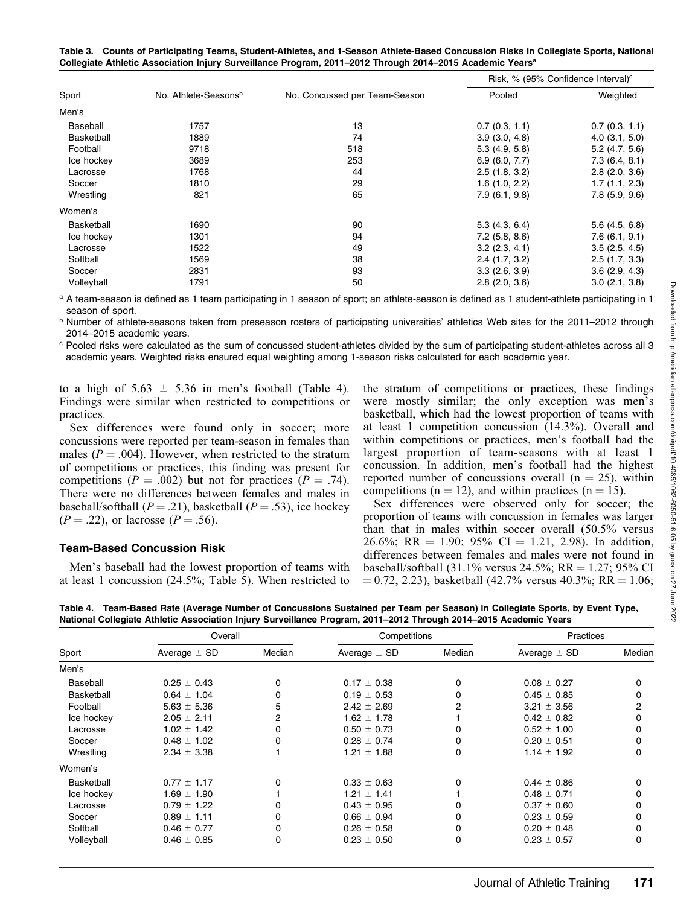Table 3. Counts of Participating Teams, Student-Athletes, and 1-Season Athlete-Based Concussion Risks in Collegiate Sports, National Collegiate Athletic Association Injury Surveillance Program, 2011–2012 Through 2014–2015 Academic Yearsa

|            |                                  |                               | Risk, % (95% Confidence Interval) <sup>c</sup> |                    |  |
|------------|----------------------------------|-------------------------------|------------------------------------------------|--------------------|--|
| Sport      | No. Athlete-Seasons <sup>b</sup> | No. Concussed per Team-Season | Pooled                                         | Weighted           |  |
| Men's      |                                  |                               |                                                |                    |  |
| Baseball   | 1757                             | 13                            | 0.7(0.3, 1.1)                                  | 0.7(0.3, 1.1)      |  |
| Basketball | 1889                             | 74                            | 3.9(3.0, 4.8)                                  | $4.0$ $(3.1, 5.0)$ |  |
| Football   | 9718                             | 518                           | 5.3(4.9, 5.8)                                  | $5.2$ (4.7, 5.6)   |  |
| Ice hockey | 3689                             | 253                           | 6.9(6.0, 7.7)                                  | 7.3(6.4, 8.1)      |  |
| Lacrosse   | 1768                             | 44                            | 2.5(1.8, 3.2)                                  | 2.8(2.0, 3.6)      |  |
| Soccer     | 1810                             | 29                            | 1.6(1.0, 2.2)                                  | 1.7(1.1, 2.3)      |  |
| Wrestling  | 821                              | 65                            | 7.9(6.1, 9.8)                                  | 7.8(5.9, 9.6)      |  |
| Women's    |                                  |                               |                                                |                    |  |
| Basketball | 1690                             | 90                            | 5.3(4.3, 6.4)                                  | $5.6$ (4.5, 6.8)   |  |
| Ice hockey | 1301                             | 94                            | $7.2$ (5.8, 8.6)                               | 7.6(6.1, 9.1)      |  |
| Lacrosse   | 1522                             | 49                            | $3.2$ (2.3, 4.1)                               | 3.5(2.5, 4.5)      |  |
| Softball   | 1569                             | 38                            | 2.4(1.7, 3.2)                                  | 2.5(1.7, 3.3)      |  |
| Soccer     | 2831                             | 93                            | 3.3(2.6, 3.9)                                  | 3.6(2.9, 4.3)      |  |
| Volleyball | 1791                             | 50                            | $2.8$ ( $2.0, 3.6$ )                           | 3.0(2.1, 3.8)      |  |

<sup>a</sup> A team-season is defined as 1 team participating in 1 season of sport; an athlete-season is defined as 1 student-athlete participating in 1 season of sport.

<sup>b</sup> Number of athlete-seasons taken from preseason rosters of participating universities' athletics Web sites for the 2011–2012 through 2014–2015 academic years.

<sup>c</sup> Pooled risks were calculated as the sum of concussed student-athletes divided by the sum of participating student-athletes across all 3 academic years. Weighted risks ensured equal weighting among 1-season risks calculated for each academic year.

to a high of  $5.63 \pm 5.36$  in men's football (Table 4). Findings were similar when restricted to competitions or practices.

Sex differences were found only in soccer; more concussions were reported per team-season in females than males ( $P = .004$ ). However, when restricted to the stratum of competitions or practices, this finding was present for competitions ( $P = .002$ ) but not for practices ( $P = .74$ ). There were no differences between females and males in baseball/softball ( $P = .21$ ), basketball ( $P = .53$ ), ice hockey  $(P = .22)$ , or lacrosse  $(P = .56)$ .

#### Team-Based Concussion Risk

Men's baseball had the lowest proportion of teams with at least 1 concussion (24.5%; Table 5). When restricted to the stratum of competitions or practices, these findings were mostly similar; the only exception was men's basketball, which had the lowest proportion of teams with at least 1 competition concussion (14.3%). Overall and within competitions or practices, men's football had the largest proportion of team-seasons with at least 1 concussion. In addition, men's football had the highest reported number of concussions overall  $(n = 25)$ , within competitions ( $n = 12$ ), and within practices ( $n = 15$ ).

Sex differences were observed only for soccer; the proportion of teams with concussion in females was larger than that in males within soccer overall (50.5% versus 26.6%; RR = 1.90; 95% CI = 1.21, 2.98). In addition, differences between females and males were not found in baseball/softball (31.1% versus 24.5%;  $RR = 1.27$ ; 95% CI  $\mu = 0.72, 2.23$ ), basketball (42.7% versus 40.3%; RR = 1.06;

Table 4. Team-Based Rate (Average Number of Concussions Sustained per Team per Season) in Collegiate Sports, by Event Type, National Collegiate Athletic Association Injury Surveillance Program, 2011–2012 Through 2014–2015 Academic Years

|            | Overall          |        | Competitions     |        | <b>Practices</b> |            |
|------------|------------------|--------|------------------|--------|------------------|------------|
| Sport      | Average $\pm$ SD | Median | Average $\pm$ SD | Median | Average $\pm$ SD | Median     |
| Men's      |                  |        |                  |        |                  |            |
| Baseball   | $0.25 \pm 0.43$  | 0      | $0.17 \pm 0.38$  | 0      | $0.08 \pm 0.27$  | 0          |
| Basketball | $0.64 \pm 1.04$  | o      | $0.19 \pm 0.53$  | 0      | $0.45 \pm 0.85$  |            |
| Football   | $5.63 \pm 5.36$  |        | $2.42 \pm 2.69$  | 2      | $3.21 \pm 3.56$  | 2          |
| Ice hockey | $2.05 \pm 2.11$  |        | $1.62 \pm 1.78$  |        | $0.42 \pm 0.82$  |            |
| Lacrosse   | $1.02 \pm 1.42$  |        | $0.50 \pm 0.73$  | 0      | $0.52 \pm 1.00$  | $^{\circ}$ |
| Soccer     | $0.48 \pm 1.02$  |        | $0.28 \pm 0.74$  | 0      | $0.20 \pm 0.51$  |            |
| Wrestling  | $2.34 \pm 3.38$  |        | $1.21 \pm 1.88$  | 0      | $1.14 \pm 1.92$  |            |
| Women's    |                  |        |                  |        |                  |            |
| Basketball | $0.77 \pm 1.17$  |        | $0.33 \pm 0.63$  | 0      | $0.44 \pm 0.86$  | 0          |
| Ice hockey | $1.69 \pm 1.90$  |        | $1.21 \pm 1.41$  |        | $0.48 \pm 0.71$  |            |
| Lacrosse   | $0.79 \pm 1.22$  |        | $0.43 \pm 0.95$  | 0      | $0.37 \pm 0.60$  |            |
| Soccer     | $0.89 \pm 1.11$  |        | $0.66 \pm 0.94$  | 0      | $0.23 \pm 0.59$  |            |
| Softball   | $0.46 \pm 0.77$  |        | $0.26 \pm 0.58$  | 0      | $0.20 \pm 0.48$  |            |
| Volleyball | $0.46 \pm 0.85$  | 0      | $0.23 \pm 0.50$  | 0      | $0.23 \pm 0.57$  | 0          |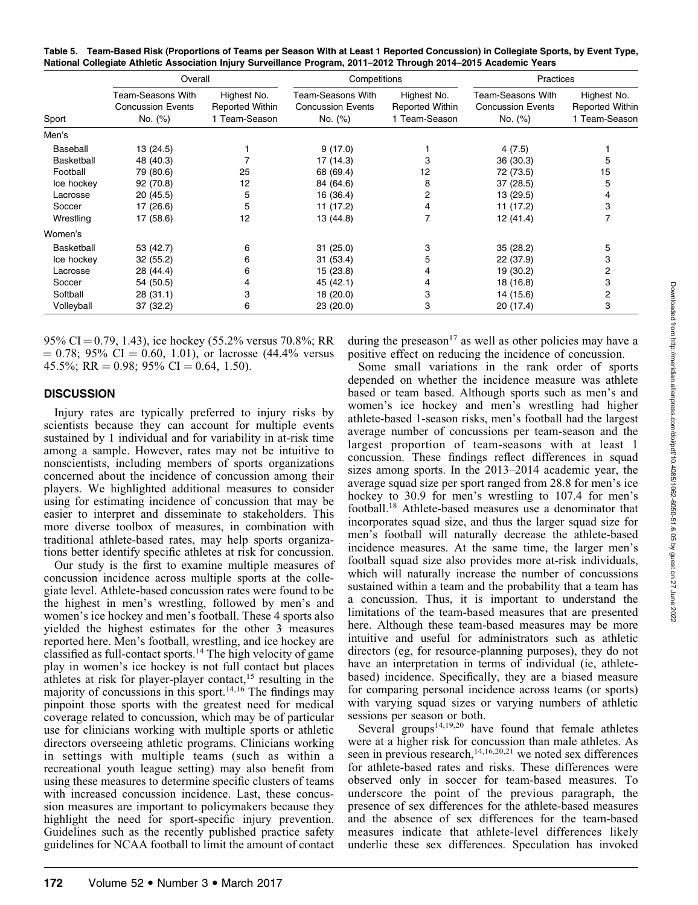|            | Overall                                                         |                                                 | Competitions                                             |                                                 | Practices                                                       |                                                        |
|------------|-----------------------------------------------------------------|-------------------------------------------------|----------------------------------------------------------|-------------------------------------------------|-----------------------------------------------------------------|--------------------------------------------------------|
| Sport      | <b>Team-Seasons With</b><br><b>Concussion Events</b><br>No. (%) | Highest No.<br>Reported Within<br>1 Team-Season | Team-Seasons With<br><b>Concussion Events</b><br>No. (%) | Highest No.<br>Reported Within<br>1 Team-Season | <b>Team-Seasons With</b><br><b>Concussion Events</b><br>No. (%) | Highest No.<br><b>Reported Within</b><br>1 Team-Season |
| Men's      |                                                                 |                                                 |                                                          |                                                 |                                                                 |                                                        |
| Baseball   | 13 (24.5)                                                       |                                                 | 9(17.0)                                                  |                                                 | 4(7.5)                                                          |                                                        |
| Basketball | 48 (40.3)                                                       |                                                 | 17 (14.3)                                                |                                                 | 36 (30.3)                                                       | 5                                                      |
| Football   | 79 (80.6)                                                       | 25                                              | 68 (69.4)                                                | 12                                              | 72 (73.5)                                                       | 15                                                     |
| Ice hockey | 92 (70.8)                                                       | 12                                              | 84 (64.6)                                                | 8                                               | 37 (28.5)                                                       | 5                                                      |
| Lacrosse   | 20 (45.5)                                                       | 5                                               | 16 (36.4)                                                | 2                                               | 13 (29.5)                                                       | 4                                                      |
| Soccer     | 17 (26.6)                                                       | 5                                               | 11 (17.2)                                                | 4                                               | 11 (17.2)                                                       | 3                                                      |
| Wrestling  | 17 (58.6)                                                       | 12                                              | 13 (44.8)                                                | 7                                               | 12 (41.4)                                                       |                                                        |
| Women's    |                                                                 |                                                 |                                                          |                                                 |                                                                 |                                                        |
| Basketball | 53 (42.7)                                                       | 6                                               | 31(25.0)                                                 | 3                                               | 35(28.2)                                                        | 5                                                      |
| Ice hockey | 32 (55.2)                                                       | 6                                               | 31(53.4)                                                 | 5                                               | 22 (37.9)                                                       | 3                                                      |
| Lacrosse   | 28 (44.4)                                                       | 6                                               | 15 (23.8)                                                | 4                                               | 19 (30.2)                                                       | 2                                                      |
| Soccer     | 54 (50.5)                                                       |                                                 | 45 (42.1)                                                | 4                                               | 18 (16.8)                                                       | 3                                                      |
| Softball   | 28 (31.1)                                                       | 3                                               | 18 (20.0)                                                | 3                                               | 14 (15.6)                                                       | 2                                                      |
| Volleyball | 37 (32.2)                                                       | 6                                               | 23 (20.0)                                                | 3                                               | 20 (17.4)                                                       | 3                                                      |

Table 5. Team-Based Risk (Proportions of Teams per Season With at Least 1 Reported Concussion) in Collegiate Sports, by Event Type, National Collegiate Athletic Association Injury Surveillance Program, 2011–2012 Through 2014–2015 Academic Years

95% CI = 0.79, 1.43), ice hockey (55.2% versus 70.8%; RR  $= 0.78$ ; 95% CI  $= 0.60, 1.01$ ), or lacrosse (44.4% versus 45.5%; RR = 0.98; 95% CI = 0.64, 1.50).

#### **DISCUSSION**

Injury rates are typically preferred to injury risks by scientists because they can account for multiple events sustained by 1 individual and for variability in at-risk time among a sample. However, rates may not be intuitive to nonscientists, including members of sports organizations concerned about the incidence of concussion among their players. We highlighted additional measures to consider using for estimating incidence of concussion that may be easier to interpret and disseminate to stakeholders. This more diverse toolbox of measures, in combination with traditional athlete-based rates, may help sports organizations better identify specific athletes at risk for concussion.

Our study is the first to examine multiple measures of concussion incidence across multiple sports at the collegiate level. Athlete-based concussion rates were found to be the highest in men's wrestling, followed by men's and women's ice hockey and men's football. These 4 sports also yielded the highest estimates for the other 3 measures reported here. Men's football, wrestling, and ice hockey are classified as full-contact sports.<sup>14</sup> The high velocity of game play in women's ice hockey is not full contact but places athletes at risk for player-player contact,<sup>15</sup> resulting in the majority of concussions in this sport.<sup>14,16</sup> The findings may pinpoint those sports with the greatest need for medical coverage related to concussion, which may be of particular use for clinicians working with multiple sports or athletic directors overseeing athletic programs. Clinicians working in settings with multiple teams (such as within a recreational youth league setting) may also benefit from using these measures to determine specific clusters of teams with increased concussion incidence. Last, these concussion measures are important to policymakers because they highlight the need for sport-specific injury prevention. Guidelines such as the recently published practice safety guidelines for NCAA football to limit the amount of contact

during the preseason<sup>17</sup> as well as other policies may have a positive effect on reducing the incidence of concussion.

Some small variations in the rank order of sports depended on whether the incidence measure was athlete based or team based. Although sports such as men's and women's ice hockey and men's wrestling had higher athlete-based 1-season risks, men's football had the largest average number of concussions per team-season and the largest proportion of team-seasons with at least 1 concussion. These findings reflect differences in squad sizes among sports. In the 2013–2014 academic year, the average squad size per sport ranged from 28.8 for men's ice hockey to 30.9 for men's wrestling to 107.4 for men's football.18 Athlete-based measures use a denominator that incorporates squad size, and thus the larger squad size for men's football will naturally decrease the athlete-based incidence measures. At the same time, the larger men's football squad size also provides more at-risk individuals, which will naturally increase the number of concussions sustained within a team and the probability that a team has a concussion. Thus, it is important to understand the limitations of the team-based measures that are presented here. Although these team-based measures may be more intuitive and useful for administrators such as athletic directors (eg, for resource-planning purposes), they do not have an interpretation in terms of individual (ie, athletebased) incidence. Specifically, they are a biased measure for comparing personal incidence across teams (or sports) with varying squad sizes or varying numbers of athletic sessions per season or both.

Several groups<sup>14,19,20</sup> have found that female athletes were at a higher risk for concussion than male athletes. As seen in previous research,<sup>14,16,20,21</sup> we noted sex differences for athlete-based rates and risks. These differences were observed only in soccer for team-based measures. To underscore the point of the previous paragraph, the presence of sex differences for the athlete-based measures and the absence of sex differences for the team-based measures indicate that athlete-level differences likely underlie these sex differences. Speculation has invoked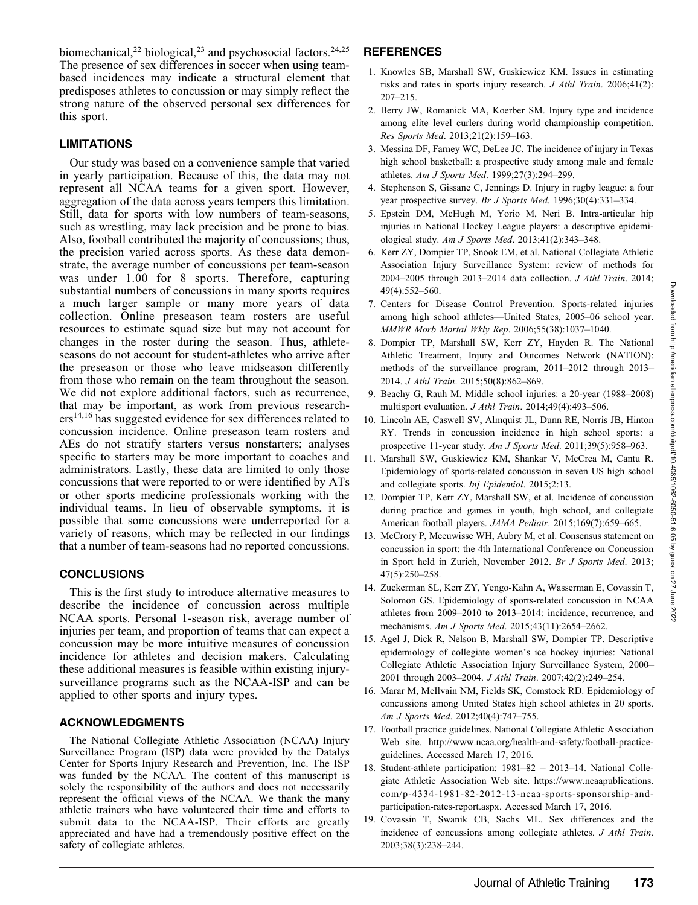biomechanical,<sup>22</sup> biological,<sup>23</sup> and psychosocial factors.<sup>24,25</sup> The presence of sex differences in soccer when using teambased incidences may indicate a structural element that predisposes athletes to concussion or may simply reflect the strong nature of the observed personal sex differences for this sport.

## LIMITATIONS

Our study was based on a convenience sample that varied in yearly participation. Because of this, the data may not represent all NCAA teams for a given sport. However, aggregation of the data across years tempers this limitation. Still, data for sports with low numbers of team-seasons, such as wrestling, may lack precision and be prone to bias. Also, football contributed the majority of concussions; thus, the precision varied across sports. As these data demonstrate, the average number of concussions per team-season was under 1.00 for 8 sports. Therefore, capturing substantial numbers of concussions in many sports requires a much larger sample or many more years of data collection. Online preseason team rosters are useful resources to estimate squad size but may not account for changes in the roster during the season. Thus, athleteseasons do not account for student-athletes who arrive after the preseason or those who leave midseason differently from those who remain on the team throughout the season. We did not explore additional factors, such as recurrence, that may be important, as work from previous research $ers<sup>14,16</sup>$  has suggested evidence for sex differences related to concussion incidence. Online preseason team rosters and AEs do not stratify starters versus nonstarters; analyses specific to starters may be more important to coaches and administrators. Lastly, these data are limited to only those concussions that were reported to or were identified by ATs or other sports medicine professionals working with the individual teams. In lieu of observable symptoms, it is possible that some concussions were underreported for a variety of reasons, which may be reflected in our findings that a number of team-seasons had no reported concussions.

## **CONCLUSIONS**

This is the first study to introduce alternative measures to describe the incidence of concussion across multiple NCAA sports. Personal 1-season risk, average number of injuries per team, and proportion of teams that can expect a concussion may be more intuitive measures of concussion incidence for athletes and decision makers. Calculating these additional measures is feasible within existing injurysurveillance programs such as the NCAA-ISP and can be applied to other sports and injury types.

#### ACKNOWLEDGMENTS

The National Collegiate Athletic Association (NCAA) Injury Surveillance Program (ISP) data were provided by the Datalys Center for Sports Injury Research and Prevention, Inc. The ISP was funded by the NCAA. The content of this manuscript is solely the responsibility of the authors and does not necessarily represent the official views of the NCAA. We thank the many athletic trainers who have volunteered their time and efforts to submit data to the NCAA-ISP. Their efforts are greatly appreciated and have had a tremendously positive effect on the safety of collegiate athletes.

# **REFERENCES**

- 1. Knowles SB, Marshall SW, Guskiewicz KM. Issues in estimating risks and rates in sports injury research. J Athl Train. 2006;41(2): 207–215.
- 2. Berry JW, Romanick MA, Koerber SM. Injury type and incidence among elite level curlers during world championship competition. Res Sports Med. 2013;21(2):159–163.
- 3. Messina DF, Farney WC, DeLee JC. The incidence of injury in Texas high school basketball: a prospective study among male and female athletes. Am J Sports Med. 1999;27(3):294–299.
- 4. Stephenson S, Gissane C, Jennings D. Injury in rugby league: a four year prospective survey. Br J Sports Med. 1996;30(4):331-334.
- 5. Epstein DM, McHugh M, Yorio M, Neri B. Intra-articular hip injuries in National Hockey League players: a descriptive epidemiological study. Am J Sports Med. 2013;41(2):343–348.
- 6. Kerr ZY, Dompier TP, Snook EM, et al. National Collegiate Athletic Association Injury Surveillance System: review of methods for 2004–2005 through 2013–2014 data collection. J Athl Train. 2014; 49(4):552–560.
- 7. Centers for Disease Control Prevention. Sports-related injuries among high school athletes—United States, 2005–06 school year. MMWR Morb Mortal Wkly Rep. 2006;55(38):1037–1040.
- 8. Dompier TP, Marshall SW, Kerr ZY, Hayden R. The National Athletic Treatment, Injury and Outcomes Network (NATION): methods of the surveillance program, 2011–2012 through 2013– 2014. J Athl Train. 2015;50(8):862–869.
- 9. Beachy G, Rauh M. Middle school injuries: a 20-year (1988–2008) multisport evaluation. J Athl Train. 2014;49(4):493-506.
- 10. Lincoln AE, Caswell SV, Almquist JL, Dunn RE, Norris JB, Hinton RY. Trends in concussion incidence in high school sports: a prospective 11-year study. Am J Sports Med. 2011;39(5):958-963.
- 11. Marshall SW, Guskiewicz KM, Shankar V, McCrea M, Cantu R. Epidemiology of sports-related concussion in seven US high school and collegiate sports. Inj Epidemiol. 2015;2:13.
- 12. Dompier TP, Kerr ZY, Marshall SW, et al. Incidence of concussion during practice and games in youth, high school, and collegiate American football players. JAMA Pediatr. 2015;169(7):659-665.
- 13. McCrory P, Meeuwisse WH, Aubry M, et al. Consensus statement on concussion in sport: the 4th International Conference on Concussion in Sport held in Zurich, November 2012. Br J Sports Med. 2013; 47(5):250–258.
- 14. Zuckerman SL, Kerr ZY, Yengo-Kahn A, Wasserman E, Covassin T, Solomon GS. Epidemiology of sports-related concussion in NCAA athletes from 2009–2010 to 2013–2014: incidence, recurrence, and mechanisms. Am J Sports Med. 2015;43(11):2654–2662.
- 15. Agel J, Dick R, Nelson B, Marshall SW, Dompier TP. Descriptive epidemiology of collegiate women's ice hockey injuries: National Collegiate Athletic Association Injury Surveillance System, 2000– 2001 through 2003–2004. J Athl Train. 2007;42(2):249–254.
- 16. Marar M, McIlvain NM, Fields SK, Comstock RD. Epidemiology of concussions among United States high school athletes in 20 sports. Am J Sports Med. 2012;40(4):747–755.
- 17. Football practice guidelines. National Collegiate Athletic Association Web site. http://www.ncaa.org/health-and-safety/football-practiceguidelines. Accessed March 17, 2016.
- 18. Student-athlete participation: 1981–82 2013–14. National Collegiate Athletic Association Web site. https://www.ncaapublications. com/p-4334-1981-82-2012-13-ncaa-sports-sponsorship-andparticipation-rates-report.aspx. Accessed March 17, 2016.
- 19. Covassin T, Swanik CB, Sachs ML. Sex differences and the incidence of concussions among collegiate athletes. J Athl Train. 2003;38(3):238–244.